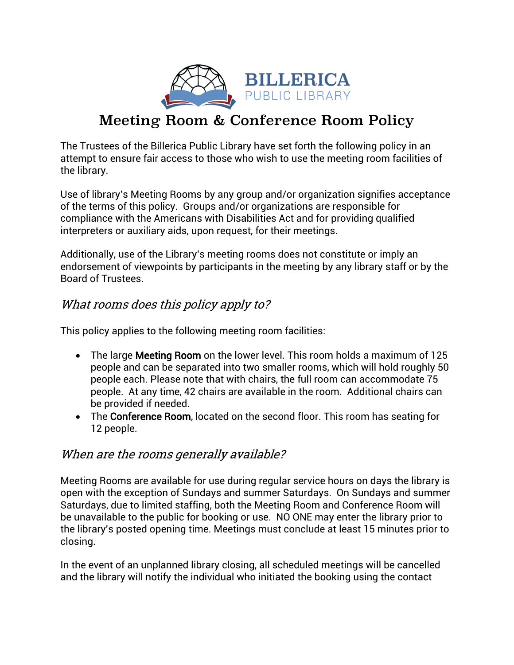

# Meeting Room & Conference Room Policy

The Trustees of the Billerica Public Library have set forth the following policy in an attempt to ensure fair access to those who wish to use the meeting room facilities of the library.

Use of library's Meeting Rooms by any group and/or organization signifies acceptance of the terms of this policy. Groups and/or organizations are responsible for compliance with the Americans with Disabilities Act and for providing qualified interpreters or auxiliary aids, upon request, for their meetings.

Additionally, use of the Library's meeting rooms does not constitute or imply an endorsement of viewpoints by participants in the meeting by any library staff or by the Board of Trustees.

## What rooms does this policy apply to?

This policy applies to the following meeting room facilities:

- The large **Meeting Room** on the lower level. This room holds a maximum of 125 people and can be separated into two smaller rooms, which will hold roughly 50 people each. Please note that with chairs, the full room can accommodate 75 people. At any time, 42 chairs are available in the room. Additional chairs can be provided if needed.
- The Conference Room, located on the second floor. This room has seating for 12 people.

#### When are the rooms generally available?

Meeting Rooms are available for use during regular service hours on days the library is open with the exception of Sundays and summer Saturdays. On Sundays and summer Saturdays, due to limited staffing, both the Meeting Room and Conference Room will be unavailable to the public for booking or use. NO ONE may enter the library prior to the library's posted opening time. Meetings must conclude at least 15 minutes prior to closing.

In the event of an unplanned library closing, all scheduled meetings will be cancelled and the library will notify the individual who initiated the booking using the contact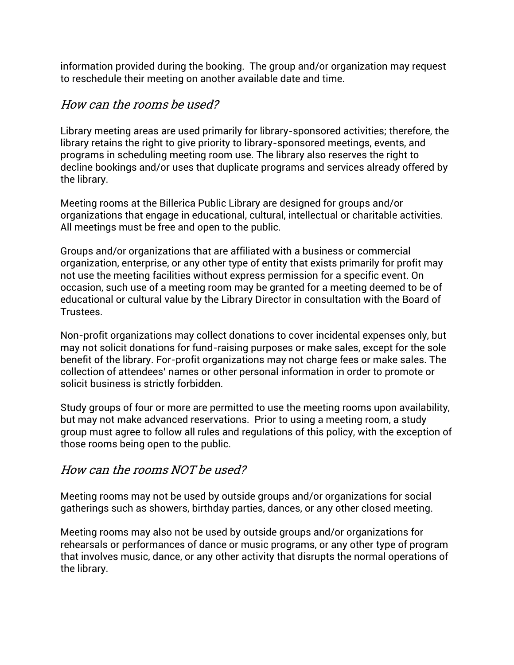information provided during the booking. The group and/or organization may request to reschedule their meeting on another available date and time.

#### How can the rooms be used?

Library meeting areas are used primarily for library-sponsored activities; therefore, the library retains the right to give priority to library-sponsored meetings, events, and programs in scheduling meeting room use. The library also reserves the right to decline bookings and/or uses that duplicate programs and services already offered by the library.

Meeting rooms at the Billerica Public Library are designed for groups and/or organizations that engage in educational, cultural, intellectual or charitable activities. All meetings must be free and open to the public.

Groups and/or organizations that are affiliated with a business or commercial organization, enterprise, or any other type of entity that exists primarily for profit may not use the meeting facilities without express permission for a specific event. On occasion, such use of a meeting room may be granted for a meeting deemed to be of educational or cultural value by the Library Director in consultation with the Board of Trustees.

Non-profit organizations may collect donations to cover incidental expenses only, but may not solicit donations for fund-raising purposes or make sales, except for the sole benefit of the library. For-profit organizations may not charge fees or make sales. The collection of attendees' names or other personal information in order to promote or solicit business is strictly forbidden.

Study groups of four or more are permitted to use the meeting rooms upon availability, but may not make advanced reservations. Prior to using a meeting room, a study group must agree to follow all rules and regulations of this policy, with the exception of those rooms being open to the public.

#### How can the rooms NOT be used?

Meeting rooms may not be used by outside groups and/or organizations for social gatherings such as showers, birthday parties, dances, or any other closed meeting.

Meeting rooms may also not be used by outside groups and/or organizations for rehearsals or performances of dance or music programs, or any other type of program that involves music, dance, or any other activity that disrupts the normal operations of the library.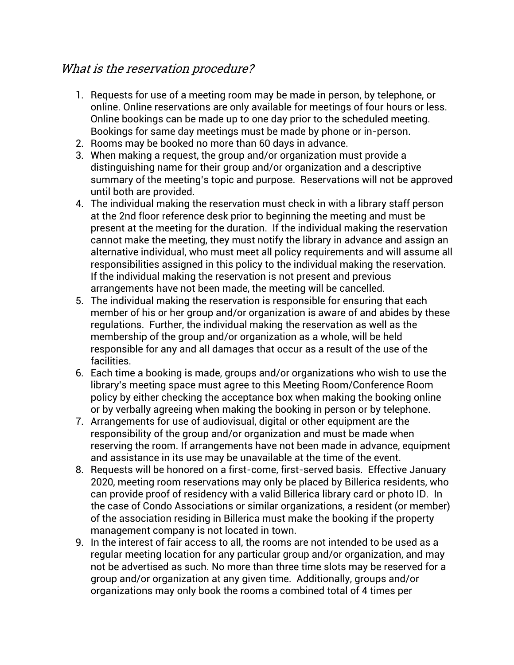#### What is the reservation procedure?

- 1. Requests for use of a meeting room may be made in person, by telephone, or online. Online reservations are only available for meetings of four hours or less. Online bookings can be made up to one day prior to the scheduled meeting. Bookings for same day meetings must be made by phone or in-person.
- 2. Rooms may be booked no more than 60 days in advance.
- 3. When making a request, the group and/or organization must provide a distinguishing name for their group and/or organization and a descriptive summary of the meeting's topic and purpose. Reservations will not be approved until both are provided.
- 4. The individual making the reservation must check in with a library staff person at the 2nd floor reference desk prior to beginning the meeting and must be present at the meeting for the duration. If the individual making the reservation cannot make the meeting, they must notify the library in advance and assign an alternative individual, who must meet all policy requirements and will assume all responsibilities assigned in this policy to the individual making the reservation. If the individual making the reservation is not present and previous arrangements have not been made, the meeting will be cancelled.
- 5. The individual making the reservation is responsible for ensuring that each member of his or her group and/or organization is aware of and abides by these regulations. Further, the individual making the reservation as well as the membership of the group and/or organization as a whole, will be held responsible for any and all damages that occur as a result of the use of the facilities.
- 6. Each time a booking is made, groups and/or organizations who wish to use the library's meeting space must agree to this Meeting Room/Conference Room policy by either checking the acceptance box when making the booking online or by verbally agreeing when making the booking in person or by telephone.
- 7. Arrangements for use of audiovisual, digital or other equipment are the responsibility of the group and/or organization and must be made when reserving the room. If arrangements have not been made in advance, equipment and assistance in its use may be unavailable at the time of the event.
- 8. Requests will be honored on a first-come, first-served basis. Effective January 2020, meeting room reservations may only be placed by Billerica residents, who can provide proof of residency with a valid Billerica library card or photo ID. In the case of Condo Associations or similar organizations, a resident (or member) of the association residing in Billerica must make the booking if the property management company is not located in town.
- 9. In the interest of fair access to all, the rooms are not intended to be used as a regular meeting location for any particular group and/or organization, and may not be advertised as such. No more than three time slots may be reserved for a group and/or organization at any given time. Additionally, groups and/or organizations may only book the rooms a combined total of 4 times per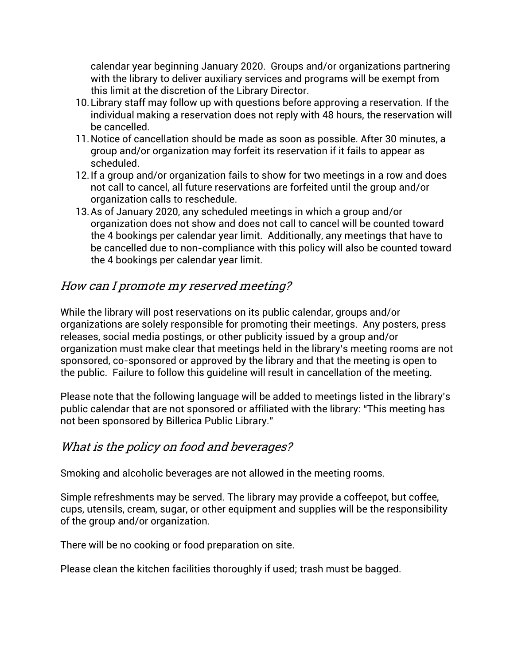calendar year beginning January 2020. Groups and/or organizations partnering with the library to deliver auxiliary services and programs will be exempt from this limit at the discretion of the Library Director.

- 10.Library staff may follow up with questions before approving a reservation. If the individual making a reservation does not reply with 48 hours, the reservation will be cancelled.
- 11.Notice of cancellation should be made as soon as possible. After 30 minutes, a group and/or organization may forfeit its reservation if it fails to appear as scheduled.
- 12.If a group and/or organization fails to show for two meetings in a row and does not call to cancel, all future reservations are forfeited until the group and/or organization calls to reschedule.
- 13.As of January 2020, any scheduled meetings in which a group and/or organization does not show and does not call to cancel will be counted toward the 4 bookings per calendar year limit. Additionally, any meetings that have to be cancelled due to non-compliance with this policy will also be counted toward the 4 bookings per calendar year limit.

## How can I promote my reserved meeting?

While the library will post reservations on its public calendar, groups and/or organizations are solely responsible for promoting their meetings. Any posters, press releases, social media postings, or other publicity issued by a group and/or organization must make clear that meetings held in the library's meeting rooms are not sponsored, co-sponsored or approved by the library and that the meeting is open to the public. Failure to follow this guideline will result in cancellation of the meeting.

Please note that the following language will be added to meetings listed in the library's public calendar that are not sponsored or affiliated with the library: "This meeting has not been sponsored by Billerica Public Library."

#### What is the policy on food and beverages?

Smoking and alcoholic beverages are not allowed in the meeting rooms.

Simple refreshments may be served. The library may provide a coffeepot, but coffee, cups, utensils, cream, sugar, or other equipment and supplies will be the responsibility of the group and/or organization.

There will be no cooking or food preparation on site.

Please clean the kitchen facilities thoroughly if used; trash must be bagged.